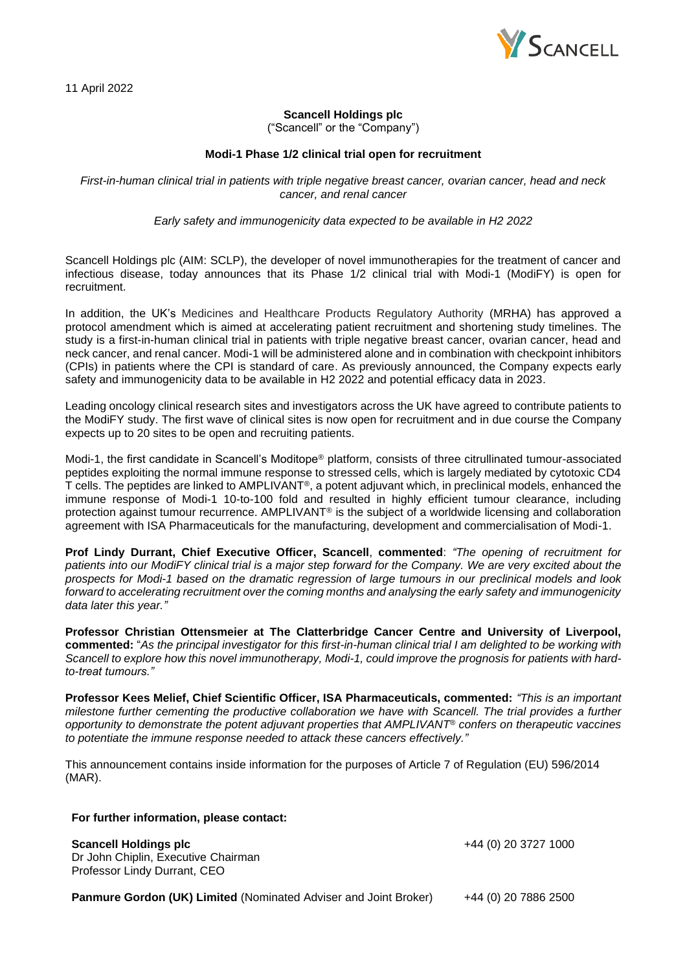

## **Scancell Holdings plc**

("Scancell" or the "Company")

## **Modi-1 Phase 1/2 clinical trial open for recruitment**

*First-in-human clinical trial in patients with triple negative breast cancer, ovarian cancer, head and neck cancer, and renal cancer*

*Early safety and immunogenicity data expected to be available in H2 2022*

Scancell Holdings plc (AIM: SCLP), the developer of novel immunotherapies for the treatment of cancer and infectious disease, today announces that its Phase 1/2 clinical trial with Modi-1 (ModiFY) is open for recruitment.

In addition, the UK's Medicines and Healthcare Products Regulatory Authority (MRHA) has approved a protocol amendment which is aimed at accelerating patient recruitment and shortening study timelines. The study is a first-in-human clinical trial in patients with triple negative breast cancer, ovarian cancer, head and neck cancer, and renal cancer. Modi-1 will be administered alone and in combination with checkpoint inhibitors (CPIs) in patients where the CPI is standard of care. As previously announced, the Company expects early safety and immunogenicity data to be available in H2 2022 and potential efficacy data in 2023.

Leading oncology clinical research sites and investigators across the UK have agreed to contribute patients to the ModiFY study. The first wave of clinical sites is now open for recruitment and in due course the Company expects up to 20 sites to be open and recruiting patients.

Modi-1, the first candidate in Scancell's Moditope® platform, consists of three citrullinated tumour-associated peptides exploiting the normal immune response to stressed cells, which is largely mediated by cytotoxic CD4 T cells. The peptides are linked to AMPLIVANT®, a potent adjuvant which, in preclinical models, enhanced the immune response of Modi-1 10-to-100 fold and resulted in highly efficient tumour clearance, including protection against tumour recurrence. AMPLIVANT<sup>®</sup> is the subject of a worldwide licensing and collaboration agreement with ISA Pharmaceuticals for the manufacturing, development and commercialisation of Modi-1.

**Prof Lindy Durrant, Chief Executive Officer, Scancell**, **commented**: *"The opening of recruitment for patients into our ModiFY clinical trial is a major step forward for the Company. We are very excited about the prospects for Modi-1 based on the dramatic regression of large tumours in our preclinical models and look forward to accelerating recruitment over the coming months and analysing the early safety and immunogenicity data later this year."*

**Professor Christian Ottensmeier at The Clatterbridge Cancer Centre and University of Liverpool, commented:** "*As the principal investigator for this first-in-human clinical trial I am delighted to be working with Scancell to explore how this novel immunotherapy, Modi-1, could improve the prognosis for patients with hardto-treat tumours."*

**Professor Kees Melief, Chief Scientific Officer, ISA Pharmaceuticals, commented:** *"This is an important milestone further cementing the productive collaboration we have with Scancell. The trial provides a further opportunity to demonstrate the potent adjuvant properties that AMPLIVANT® confers on therapeutic vaccines to potentiate the immune response needed to attack these cancers effectively."*

This announcement contains inside information for the purposes of Article 7 of Regulation (EU) 596/2014 (MAR).

## **For further information, please contact:**

**Scancell Holdings plc** +44 (0) 20 3727 1000

Dr John Chiplin, Executive Chairman Professor Lindy Durrant, CEO

**Panmure Gordon (UK) Limited** (Nominated Adviser and Joint Broker) +44 (0) 20 7886 2500